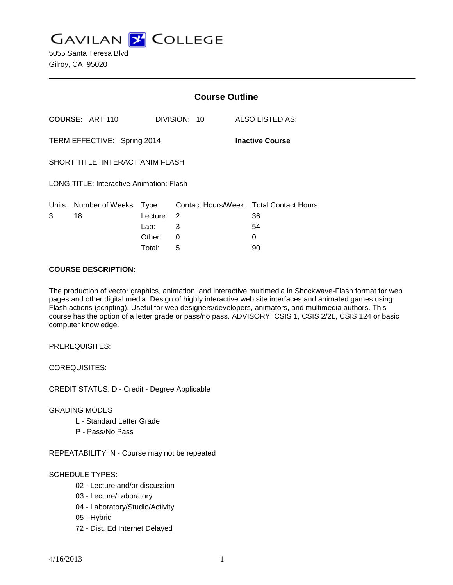**GAVILAN 2 COLLEGE** 

5055 Santa Teresa Blvd Gilroy, CA 95020

|                                          |                        | <b>Course Outline</b>              |                                   |  |                                             |  |
|------------------------------------------|------------------------|------------------------------------|-----------------------------------|--|---------------------------------------------|--|
|                                          | <b>COURSE: ART 110</b> |                                    | DIVISION: 10                      |  | ALSO LISTED AS:                             |  |
| TERM EFFECTIVE: Spring 2014              |                        |                                    |                                   |  | <b>Inactive Course</b>                      |  |
| <b>SHORT TITLE: INTERACT ANIM FLASH</b>  |                        |                                    |                                   |  |                                             |  |
| LONG TITLE: Interactive Animation: Flash |                        |                                    |                                   |  |                                             |  |
| Units<br>18<br>3                         | Number of Weeks        | Type<br>Lecture:<br>Lab:<br>Other: | Contact Hours/Week<br>2<br>3<br>0 |  | <b>Total Contact Hours</b><br>36<br>54<br>O |  |
|                                          |                        |                                    |                                   |  |                                             |  |

Total: 5 90

#### **COURSE DESCRIPTION:**

The production of vector graphics, animation, and interactive multimedia in Shockwave-Flash format for web pages and other digital media. Design of highly interactive web site interfaces and animated games using Flash actions (scripting). Useful for web designers/developers, animators, and multimedia authors. This course has the option of a letter grade or pass/no pass. ADVISORY: CSIS 1, CSIS 2/2L, CSIS 124 or basic computer knowledge.

PREREQUISITES:

COREQUISITES:

CREDIT STATUS: D - Credit - Degree Applicable

#### GRADING MODES

- L Standard Letter Grade
- P Pass/No Pass

REPEATABILITY: N - Course may not be repeated

#### SCHEDULE TYPES:

- 02 Lecture and/or discussion
- 03 Lecture/Laboratory
- 04 Laboratory/Studio/Activity
- 05 Hybrid
- 72 Dist. Ed Internet Delayed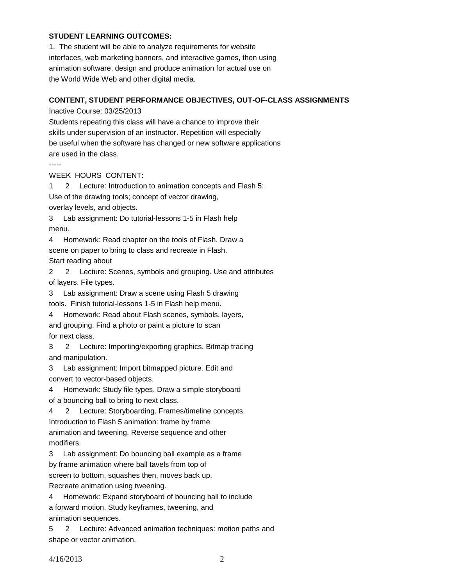### **STUDENT LEARNING OUTCOMES:**

1. The student will be able to analyze requirements for website interfaces, web marketing banners, and interactive games, then using animation software, design and produce animation for actual use on the World Wide Web and other digital media.

## **CONTENT, STUDENT PERFORMANCE OBJECTIVES, OUT-OF-CLASS ASSIGNMENTS**

Inactive Course: 03/25/2013

Students repeating this class will have a chance to improve their skills under supervision of an instructor. Repetition will especially be useful when the software has changed or new software applications are used in the class.

-----

WEEK HOURS CONTENT:

1 2 Lecture: Introduction to animation concepts and Flash 5: Use of the drawing tools; concept of vector drawing, overlay levels, and objects.

3 Lab assignment: Do tutorial-lessons 1-5 in Flash help menu.

4 Homework: Read chapter on the tools of Flash. Draw a scene on paper to bring to class and recreate in Flash. Start reading about

2 2 Lecture: Scenes, symbols and grouping. Use and attributes of layers. File types.

3 Lab assignment: Draw a scene using Flash 5 drawing tools. Finish tutorial-lessons 1-5 in Flash help menu.

4 Homework: Read about Flash scenes, symbols, layers, and grouping. Find a photo or paint a picture to scan for next class.

3 2 Lecture: Importing/exporting graphics. Bitmap tracing and manipulation.

3 Lab assignment: Import bitmapped picture. Edit and convert to vector-based objects.

4 Homework: Study file types. Draw a simple storyboard

of a bouncing ball to bring to next class.

4 2 Lecture: Storyboarding. Frames/timeline concepts. Introduction to Flash 5 animation: frame by frame animation and tweening. Reverse sequence and other modifiers.

3 Lab assignment: Do bouncing ball example as a frame

by frame animation where ball tavels from top of

screen to bottom, squashes then, moves back up.

Recreate animation using tweening.

4 Homework: Expand storyboard of bouncing ball to include a forward motion. Study keyframes, tweening, and animation sequences.

5 2 Lecture: Advanced animation techniques: motion paths and shape or vector animation.

4/16/2013 2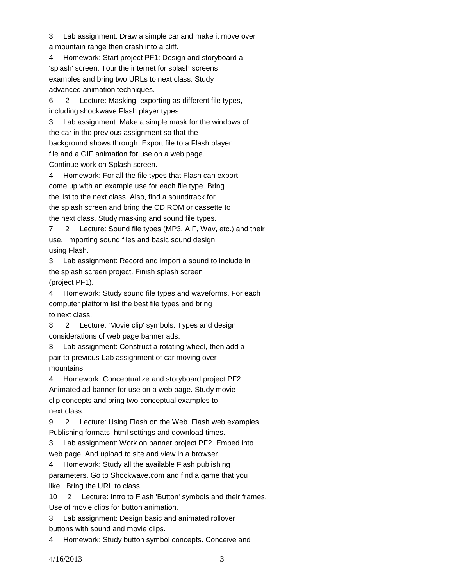3 Lab assignment: Draw a simple car and make it move over

a mountain range then crash into a cliff.

4 Homework: Start project PF1: Design and storyboard a 'splash' screen. Tour the internet for splash screens examples and bring two URLs to next class. Study advanced animation techniques.

6 2 Lecture: Masking, exporting as different file types, including shockwave Flash player types.

3 Lab assignment: Make a simple mask for the windows of the car in the previous assignment so that the background shows through. Export file to a Flash player file and a GIF animation for use on a web page. Continue work on Splash screen.

4 Homework: For all the file types that Flash can export come up with an example use for each file type. Bring the list to the next class. Also, find a soundtrack for the splash screen and bring the CD ROM or cassette to the next class. Study masking and sound file types.

7 2 Lecture: Sound file types (MP3, AIF, Wav, etc.) and their use. Importing sound files and basic sound design using Flash.

3 Lab assignment: Record and import a sound to include in the splash screen project. Finish splash screen (project PF1).

4 Homework: Study sound file types and waveforms. For each computer platform list the best file types and bring to next class.

8 2 Lecture: 'Movie clip' symbols. Types and design considerations of web page banner ads.

3 Lab assignment: Construct a rotating wheel, then add a pair to previous Lab assignment of car moving over mountains.

4 Homework: Conceptualize and storyboard project PF2: Animated ad banner for use on a web page. Study movie clip concepts and bring two conceptual examples to next class.

9 2 Lecture: Using Flash on the Web. Flash web examples. Publishing formats, html settings and download times.

3 Lab assignment: Work on banner project PF2. Embed into web page. And upload to site and view in a browser.

4 Homework: Study all the available Flash publishing parameters. Go to Shockwave.com and find a game that you

like. Bring the URL to class.

10 2 Lecture: Intro to Flash 'Button' symbols and their frames. Use of movie clips for button animation.

3 Lab assignment: Design basic and animated rollover buttons with sound and movie clips.

4 Homework: Study button symbol concepts. Conceive and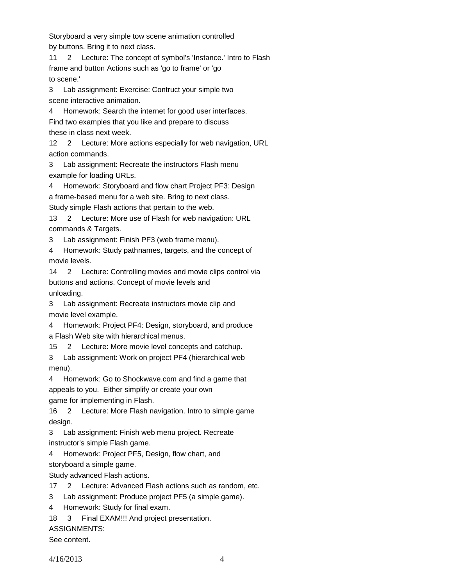Storyboard a very simple tow scene animation controlled by buttons. Bring it to next class.

11 2 Lecture: The concept of symbol's 'Instance.' Intro to Flash frame and button Actions such as 'go to frame' or 'go to scene.'

3 Lab assignment: Exercise: Contruct your simple two scene interactive animation.

Homework: Search the internet for good user interfaces. Find two examples that you like and prepare to discuss these in class next week.

12 2 Lecture: More actions especially for web navigation, URL action commands.

3 Lab assignment: Recreate the instructors Flash menu example for loading URLs.

4 Homework: Storyboard and flow chart Project PF3: Design a frame-based menu for a web site. Bring to next class. Study simple Flash actions that pertain to the web.

13 2 Lecture: More use of Flash for web navigation: URL commands & Targets.

3 Lab assignment: Finish PF3 (web frame menu).

4 Homework: Study pathnames, targets, and the concept of movie levels.

14 2 Lecture: Controlling movies and movie clips control via buttons and actions. Concept of movie levels and unloading.

3 Lab assignment: Recreate instructors movie clip and movie level example.

4 Homework: Project PF4: Design, storyboard, and produce a Flash Web site with hierarchical menus.

15 2 Lecture: More movie level concepts and catchup.

3 Lab assignment: Work on project PF4 (hierarchical web menu).

4 Homework: Go to Shockwave.com and find a game that appeals to you. Either simplify or create your own game for implementing in Flash.

16 2 Lecture: More Flash navigation. Intro to simple game design.

3 Lab assignment: Finish web menu project. Recreate instructor's simple Flash game.

4 Homework: Project PF5, Design, flow chart, and storyboard a simple game.

Study advanced Flash actions.

17 2 Lecture: Advanced Flash actions such as random, etc.

3 Lab assignment: Produce project PF5 (a simple game).

4 Homework: Study for final exam.

18 3 Final EXAM!!! And project presentation.

ASSIGNMENTS:

See content.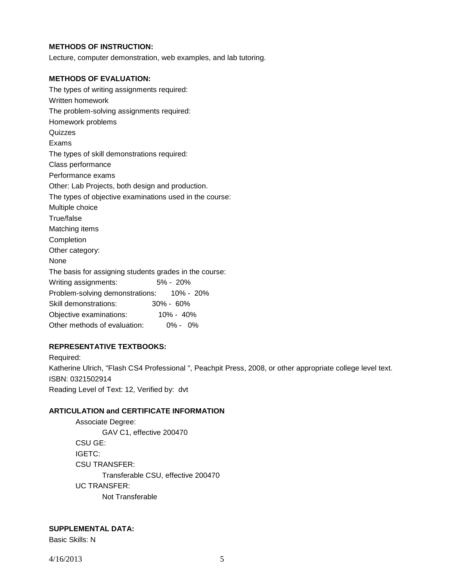## **METHODS OF INSTRUCTION:**

Lecture, computer demonstration, web examples, and lab tutoring.

#### **METHODS OF EVALUATION:**

| The types of writing assignments required:              |  |  |  |  |  |  |
|---------------------------------------------------------|--|--|--|--|--|--|
| Written homework                                        |  |  |  |  |  |  |
| The problem-solving assignments required:               |  |  |  |  |  |  |
| Homework problems                                       |  |  |  |  |  |  |
| Quizzes                                                 |  |  |  |  |  |  |
| Exams                                                   |  |  |  |  |  |  |
| The types of skill demonstrations required:             |  |  |  |  |  |  |
| Class performance                                       |  |  |  |  |  |  |
| Performance exams                                       |  |  |  |  |  |  |
| Other: Lab Projects, both design and production.        |  |  |  |  |  |  |
| The types of objective examinations used in the course: |  |  |  |  |  |  |
| Multiple choice                                         |  |  |  |  |  |  |
| True/false                                              |  |  |  |  |  |  |
| Matching items                                          |  |  |  |  |  |  |
| Completion                                              |  |  |  |  |  |  |
| Other category:                                         |  |  |  |  |  |  |
| None                                                    |  |  |  |  |  |  |
| The basis for assigning students grades in the course:  |  |  |  |  |  |  |
| 5% - 20%<br>Writing assignments:                        |  |  |  |  |  |  |
| Problem-solving demonstrations: 10% - 20%               |  |  |  |  |  |  |
| Skill demonstrations:<br>$30\% - 60\%$                  |  |  |  |  |  |  |
| 10% - 40%<br>Objective examinations:                    |  |  |  |  |  |  |
| Other methods of evaluation:<br>$0\% - 0\%$             |  |  |  |  |  |  |

### **REPRESENTATIVE TEXTBOOKS:**

Required: Katherine Ulrich, "Flash CS4 Professional ", Peachpit Press, 2008, or other appropriate college level text. ISBN: 0321502914 Reading Level of Text: 12, Verified by: dvt

# **ARTICULATION and CERTIFICATE INFORMATION**

Associate Degree: GAV C1, effective 200470 CSU GE: IGETC: CSU TRANSFER: Transferable CSU, effective 200470 UC TRANSFER: Not Transferable

### **SUPPLEMENTAL DATA:**

Basic Skills: N